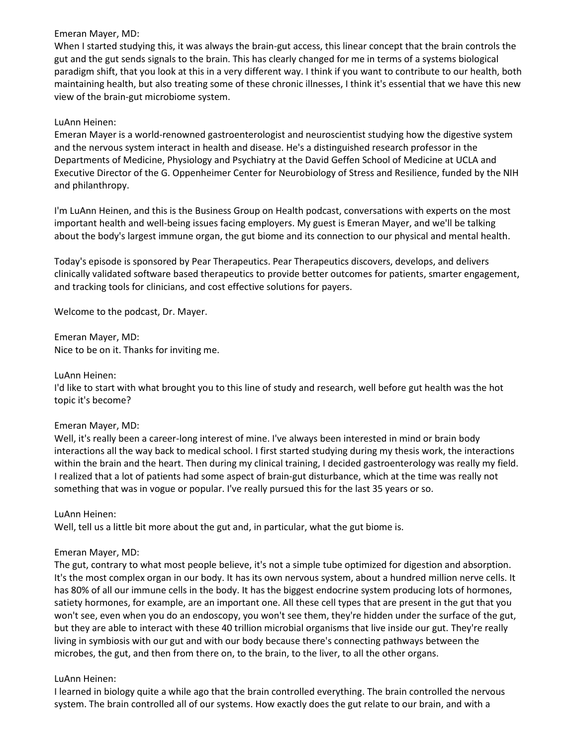When I started studying this, it was always the brain-gut access, this linear concept that the brain controls the gut and the gut sends signals to the brain. This has clearly changed for me in terms of a systems biological paradigm shift, that you look at this in a very different way. I think if you want to contribute to our health, both maintaining health, but also treating some of these chronic illnesses, I think it's essential that we have this new view of the brain-gut microbiome system.

# LuAnn Heinen:

Emeran Mayer is a world-renowned gastroenterologist and neuroscientist studying how the digestive system and the nervous system interact in health and disease. He's a distinguished research professor in the Departments of Medicine, Physiology and Psychiatry at the David Geffen School of Medicine at UCLA and Executive Director of the G. Oppenheimer Center for Neurobiology of Stress and Resilience, funded by the NIH and philanthropy.

I'm LuAnn Heinen, and this is the Business Group on Health podcast, conversations with experts on the most important health and well-being issues facing employers. My guest is Emeran Mayer, and we'll be talking about the body's largest immune organ, the gut biome and its connection to our physical and mental health.

Today's episode is sponsored by Pear Therapeutics. Pear Therapeutics discovers, develops, and delivers clinically validated software based therapeutics to provide better outcomes for patients, smarter engagement, and tracking tools for clinicians, and cost effective solutions for payers.

Welcome to the podcast, Dr. Mayer.

Emeran Mayer, MD: Nice to be on it. Thanks for inviting me.

### LuAnn Heinen:

I'd like to start with what brought you to this line of study and research, well before gut health was the hot topic it's become?

### Emeran Mayer, MD:

Well, it's really been a career-long interest of mine. I've always been interested in mind or brain body interactions all the way back to medical school. I first started studying during my thesis work, the interactions within the brain and the heart. Then during my clinical training, I decided gastroenterology was really my field. I realized that a lot of patients had some aspect of brain-gut disturbance, which at the time was really not something that was in vogue or popular. I've really pursued this for the last 35 years or so.

### LuAnn Heinen:

Well, tell us a little bit more about the gut and, in particular, what the gut biome is.

### Emeran Mayer, MD:

The gut, contrary to what most people believe, it's not a simple tube optimized for digestion and absorption. It's the most complex organ in our body. It has its own nervous system, about a hundred million nerve cells. It has 80% of all our immune cells in the body. It has the biggest endocrine system producing lots of hormones, satiety hormones, for example, are an important one. All these cell types that are present in the gut that you won't see, even when you do an endoscopy, you won't see them, they're hidden under the surface of the gut, but they are able to interact with these 40 trillion microbial organisms that live inside our gut. They're really living in symbiosis with our gut and with our body because there's connecting pathways between the microbes, the gut, and then from there on, to the brain, to the liver, to all the other organs.

### LuAnn Heinen:

I learned in biology quite a while ago that the brain controlled everything. The brain controlled the nervous system. The brain controlled all of our systems. How exactly does the gut relate to our brain, and with a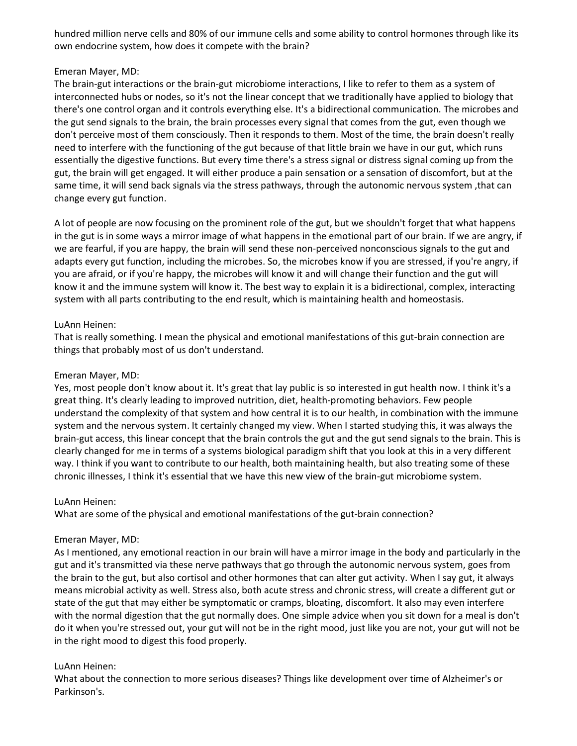hundred million nerve cells and 80% of our immune cells and some ability to control hormones through like its own endocrine system, how does it compete with the brain?

### Emeran Mayer, MD:

The brain-gut interactions or the brain-gut microbiome interactions, I like to refer to them as a system of interconnected hubs or nodes, so it's not the linear concept that we traditionally have applied to biology that there's one control organ and it controls everything else. It's a bidirectional communication. The microbes and the gut send signals to the brain, the brain processes every signal that comes from the gut, even though we don't perceive most of them consciously. Then it responds to them. Most of the time, the brain doesn't really need to interfere with the functioning of the gut because of that little brain we have in our gut, which runs essentially the digestive functions. But every time there's a stress signal or distress signal coming up from the gut, the brain will get engaged. It will either produce a pain sensation or a sensation of discomfort, but at the same time, it will send back signals via the stress pathways, through the autonomic nervous system ,that can change every gut function.

A lot of people are now focusing on the prominent role of the gut, but we shouldn't forget that what happens in the gut is in some ways a mirror image of what happens in the emotional part of our brain. If we are angry, if we are fearful, if you are happy, the brain will send these non-perceived nonconscious signals to the gut and adapts every gut function, including the microbes. So, the microbes know if you are stressed, if you're angry, if you are afraid, or if you're happy, the microbes will know it and will change their function and the gut will know it and the immune system will know it. The best way to explain it is a bidirectional, complex, interacting system with all parts contributing to the end result, which is maintaining health and homeostasis.

### LuAnn Heinen:

That is really something. I mean the physical and emotional manifestations of this gut-brain connection are things that probably most of us don't understand.

#### Emeran Mayer, MD:

Yes, most people don't know about it. It's great that lay public is so interested in gut health now. I think it's a great thing. It's clearly leading to improved nutrition, diet, health-promoting behaviors. Few people understand the complexity of that system and how central it is to our health, in combination with the immune system and the nervous system. It certainly changed my view. When I started studying this, it was always the brain-gut access, this linear concept that the brain controls the gut and the gut send signals to the brain. This is clearly changed for me in terms of a systems biological paradigm shift that you look at this in a very different way. I think if you want to contribute to our health, both maintaining health, but also treating some of these chronic illnesses, I think it's essential that we have this new view of the brain-gut microbiome system.

#### LuAnn Heinen:

What are some of the physical and emotional manifestations of the gut-brain connection?

#### Emeran Mayer, MD:

As I mentioned, any emotional reaction in our brain will have a mirror image in the body and particularly in the gut and it's transmitted via these nerve pathways that go through the autonomic nervous system, goes from the brain to the gut, but also cortisol and other hormones that can alter gut activity. When I say gut, it always means microbial activity as well. Stress also, both acute stress and chronic stress, will create a different gut or state of the gut that may either be symptomatic or cramps, bloating, discomfort. It also may even interfere with the normal digestion that the gut normally does. One simple advice when you sit down for a meal is don't do it when you're stressed out, your gut will not be in the right mood, just like you are not, your gut will not be in the right mood to digest this food properly.

### LuAnn Heinen:

What about the connection to more serious diseases? Things like development over time of Alzheimer's or Parkinson's.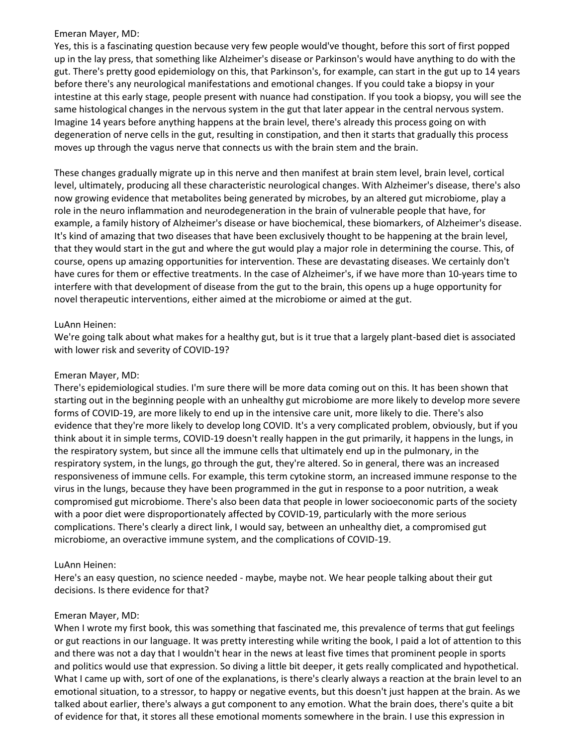Yes, this is a fascinating question because very few people would've thought, before this sort of first popped up in the lay press, that something like Alzheimer's disease or Parkinson's would have anything to do with the gut. There's pretty good epidemiology on this, that Parkinson's, for example, can start in the gut up to 14 years before there's any neurological manifestations and emotional changes. If you could take a biopsy in your intestine at this early stage, people present with nuance had constipation. If you took a biopsy, you will see the same histological changes in the nervous system in the gut that later appear in the central nervous system. Imagine 14 years before anything happens at the brain level, there's already this process going on with degeneration of nerve cells in the gut, resulting in constipation, and then it starts that gradually this process moves up through the vagus nerve that connects us with the brain stem and the brain.

These changes gradually migrate up in this nerve and then manifest at brain stem level, brain level, cortical level, ultimately, producing all these characteristic neurological changes. With Alzheimer's disease, there's also now growing evidence that metabolites being generated by microbes, by an altered gut microbiome, play a role in the neuro inflammation and neurodegeneration in the brain of vulnerable people that have, for example, a family history of Alzheimer's disease or have biochemical, these biomarkers, of Alzheimer's disease. It's kind of amazing that two diseases that have been exclusively thought to be happening at the brain level, that they would start in the gut and where the gut would play a major role in determining the course. This, of course, opens up amazing opportunities for intervention. These are devastating diseases. We certainly don't have cures for them or effective treatments. In the case of Alzheimer's, if we have more than 10-years time to interfere with that development of disease from the gut to the brain, this opens up a huge opportunity for novel therapeutic interventions, either aimed at the microbiome or aimed at the gut.

# LuAnn Heinen:

We're going talk about what makes for a healthy gut, but is it true that a largely plant-based diet is associated with lower risk and severity of COVID-19?

### Emeran Mayer, MD:

There's epidemiological studies. I'm sure there will be more data coming out on this. It has been shown that starting out in the beginning people with an unhealthy gut microbiome are more likely to develop more severe forms of COVID-19, are more likely to end up in the intensive care unit, more likely to die. There's also evidence that they're more likely to develop long COVID. It's a very complicated problem, obviously, but if you think about it in simple terms, COVID-19 doesn't really happen in the gut primarily, it happens in the lungs, in the respiratory system, but since all the immune cells that ultimately end up in the pulmonary, in the respiratory system, in the lungs, go through the gut, they're altered. So in general, there was an increased responsiveness of immune cells. For example, this term cytokine storm, an increased immune response to the virus in the lungs, because they have been programmed in the gut in response to a poor nutrition, a weak compromised gut microbiome. There's also been data that people in lower socioeconomic parts of the society with a poor diet were disproportionately affected by COVID-19, particularly with the more serious complications. There's clearly a direct link, I would say, between an unhealthy diet, a compromised gut microbiome, an overactive immune system, and the complications of COVID-19.

### LuAnn Heinen:

Here's an easy question, no science needed - maybe, maybe not. We hear people talking about their gut decisions. Is there evidence for that?

### Emeran Mayer, MD:

When I wrote my first book, this was something that fascinated me, this prevalence of terms that gut feelings or gut reactions in our language. It was pretty interesting while writing the book, I paid a lot of attention to this and there was not a day that I wouldn't hear in the news at least five times that prominent people in sports and politics would use that expression. So diving a little bit deeper, it gets really complicated and hypothetical. What I came up with, sort of one of the explanations, is there's clearly always a reaction at the brain level to an emotional situation, to a stressor, to happy or negative events, but this doesn't just happen at the brain. As we talked about earlier, there's always a gut component to any emotion. What the brain does, there's quite a bit of evidence for that, it stores all these emotional moments somewhere in the brain. I use this expression in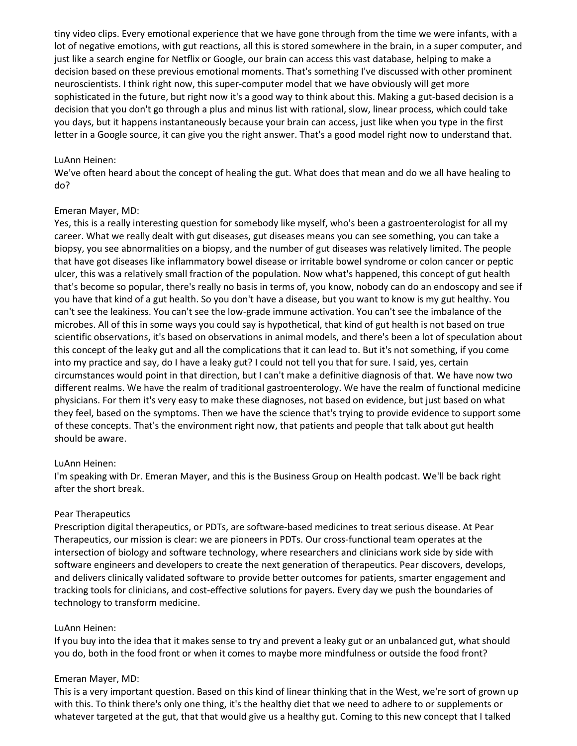tiny video clips. Every emotional experience that we have gone through from the time we were infants, with a lot of negative emotions, with gut reactions, all this is stored somewhere in the brain, in a super computer, and just like a search engine for Netflix or Google, our brain can access this vast database, helping to make a decision based on these previous emotional moments. That's something I've discussed with other prominent neuroscientists. I think right now, this super-computer model that we have obviously will get more sophisticated in the future, but right now it's a good way to think about this. Making a gut-based decision is a decision that you don't go through a plus and minus list with rational, slow, linear process, which could take you days, but it happens instantaneously because your brain can access, just like when you type in the first letter in a Google source, it can give you the right answer. That's a good model right now to understand that.

#### LuAnn Heinen:

We've often heard about the concept of healing the gut. What does that mean and do we all have healing to do?

### Emeran Mayer, MD:

Yes, this is a really interesting question for somebody like myself, who's been a gastroenterologist for all my career. What we really dealt with gut diseases, gut diseases means you can see something, you can take a biopsy, you see abnormalities on a biopsy, and the number of gut diseases was relatively limited. The people that have got diseases like inflammatory bowel disease or irritable bowel syndrome or colon cancer or peptic ulcer, this was a relatively small fraction of the population. Now what's happened, this concept of gut health that's become so popular, there's really no basis in terms of, you know, nobody can do an endoscopy and see if you have that kind of a gut health. So you don't have a disease, but you want to know is my gut healthy. You can't see the leakiness. You can't see the low-grade immune activation. You can't see the imbalance of the microbes. All of this in some ways you could say is hypothetical, that kind of gut health is not based on true scientific observations, it's based on observations in animal models, and there's been a lot of speculation about this concept of the leaky gut and all the complications that it can lead to. But it's not something, if you come into my practice and say, do I have a leaky gut? I could not tell you that for sure. I said, yes, certain circumstances would point in that direction, but I can't make a definitive diagnosis of that. We have now two different realms. We have the realm of traditional gastroenterology. We have the realm of functional medicine physicians. For them it's very easy to make these diagnoses, not based on evidence, but just based on what they feel, based on the symptoms. Then we have the science that's trying to provide evidence to support some of these concepts. That's the environment right now, that patients and people that talk about gut health should be aware.

#### LuAnn Heinen:

I'm speaking with Dr. Emeran Mayer, and this is the Business Group on Health podcast. We'll be back right after the short break.

### Pear Therapeutics

Prescription digital therapeutics, or PDTs, are software-based medicines to treat serious disease. At Pear Therapeutics, our mission is clear: we are pioneers in PDTs. Our cross-functional team operates at the intersection of biology and software technology, where researchers and clinicians work side by side with software engineers and developers to create the next generation of therapeutics. Pear discovers, develops, and delivers clinically validated software to provide better outcomes for patients, smarter engagement and tracking tools for clinicians, and cost-effective solutions for payers. Every day we push the boundaries of technology to transform medicine.

#### LuAnn Heinen:

If you buy into the idea that it makes sense to try and prevent a leaky gut or an unbalanced gut, what should you do, both in the food front or when it comes to maybe more mindfulness or outside the food front?

#### Emeran Mayer, MD:

This is a very important question. Based on this kind of linear thinking that in the West, we're sort of grown up with this. To think there's only one thing, it's the healthy diet that we need to adhere to or supplements or whatever targeted at the gut, that that would give us a healthy gut. Coming to this new concept that I talked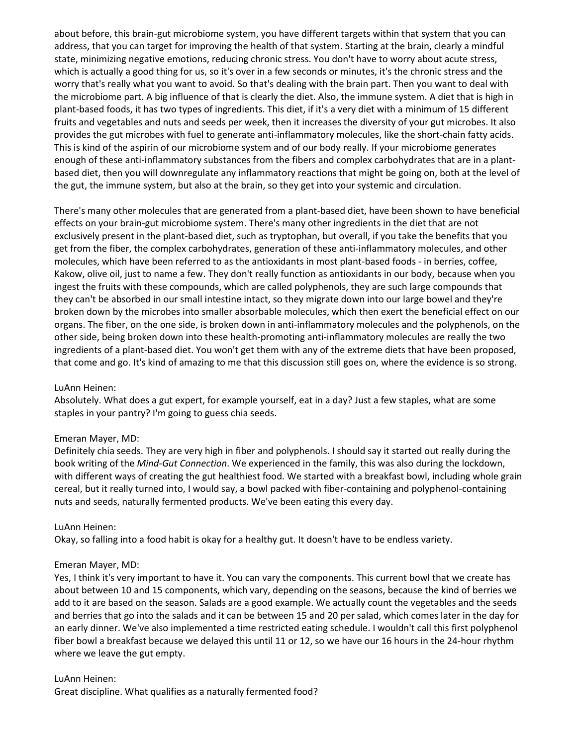about before, this brain-gut microbiome system, you have different targets within that system that you can address, that you can target for improving the health of that system. Starting at the brain, clearly a mindful state, minimizing negative emotions, reducing chronic stress. You don't have to worry about acute stress, which is actually a good thing for us, so it's over in a few seconds or minutes, it's the chronic stress and the worry that's really what you want to avoid. So that's dealing with the brain part. Then you want to deal with the microbiome part. A big influence of that is clearly the diet. Also, the immune system. A diet that is high in plant-based foods, it has two types of ingredients. This diet, if it's a very diet with a minimum of 15 different fruits and vegetables and nuts and seeds per week, then it increases the diversity of your gut microbes. It also provides the gut microbes with fuel to generate anti-inflammatory molecules, like the short-chain fatty acids. This is kind of the aspirin of our microbiome system and of our body really. If your microbiome generates enough of these anti-inflammatory substances from the fibers and complex carbohydrates that are in a plantbased diet, then you will downregulate any inflammatory reactions that might be going on, both at the level of the gut, the immune system, but also at the brain, so they get into your systemic and circulation.

There's many other molecules that are generated from a plant-based diet, have been shown to have beneficial effects on your brain-gut microbiome system. There's many other ingredients in the diet that are not exclusively present in the plant-based diet, such as tryptophan, but overall, if you take the benefits that you get from the fiber, the complex carbohydrates, generation of these anti-inflammatory molecules, and other molecules, which have been referred to as the antioxidants in most plant-based foods - in berries, coffee, Kakow, olive oil, just to name a few. They don't really function as antioxidants in our body, because when you ingest the fruits with these compounds, which are called polyphenols, they are such large compounds that they can't be absorbed in our small intestine intact, so they migrate down into our large bowel and they're broken down by the microbes into smaller absorbable molecules, which then exert the beneficial effect on our organs. The fiber, on the one side, is broken down in anti-inflammatory molecules and the polyphenols, on the other side, being broken down into these health-promoting anti-inflammatory molecules are really the two ingredients of a plant-based diet. You won't get them with any of the extreme diets that have been proposed, that come and go. It's kind of amazing to me that this discussion still goes on, where the evidence is so strong.

### LuAnn Heinen:

Absolutely. What does a gut expert, for example yourself, eat in a day? Just a few staples, what are some staples in your pantry? I'm going to guess chia seeds.

#### Emeran Mayer, MD:

Definitely chia seeds. They are very high in fiber and polyphenols. I should say it started out really during the book writing of the *Mind-Gut Connection*. We experienced in the family, this was also during the lockdown, with different ways of creating the gut healthiest food. We started with a breakfast bowl, including whole grain cereal, but it really turned into, I would say, a bowl packed with fiber-containing and polyphenol-containing nuts and seeds, naturally fermented products. We've been eating this every day.

#### LuAnn Heinen:

Okay, so falling into a food habit is okay for a healthy gut. It doesn't have to be endless variety.

### Emeran Mayer, MD:

Yes, I think it's very important to have it. You can vary the components. This current bowl that we create has about between 10 and 15 components, which vary, depending on the seasons, because the kind of berries we add to it are based on the season. Salads are a good example. We actually count the vegetables and the seeds and berries that go into the salads and it can be between 15 and 20 per salad, which comes later in the day for an early dinner. We've also implemented a time restricted eating schedule. I wouldn't call this first polyphenol fiber bowl a breakfast because we delayed this until 11 or 12, so we have our 16 hours in the 24-hour rhythm where we leave the gut empty.

# LuAnn Heinen: Great discipline. What qualifies as a naturally fermented food?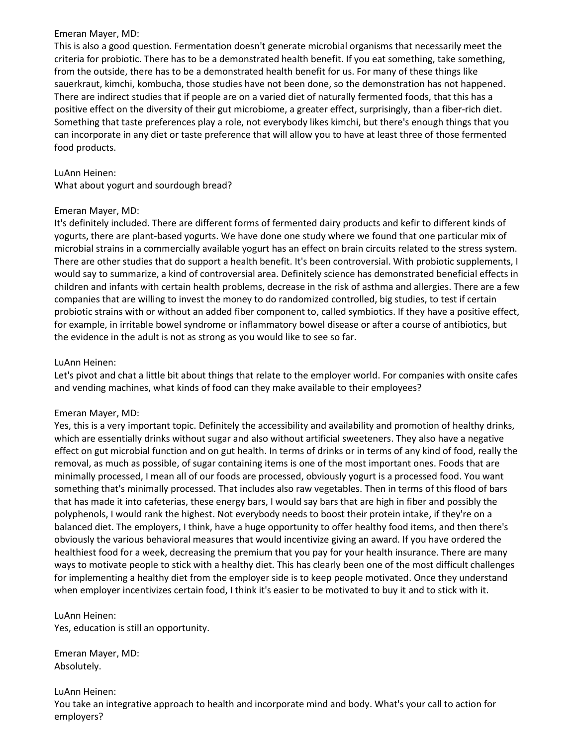This is also a good question. Fermentation doesn't generate microbial organisms that necessarily meet the criteria for probiotic. There has to be a demonstrated health benefit. If you eat something, take something, from the outside, there has to be a demonstrated health benefit for us. For many of these things like sauerkraut, kimchi, kombucha, those studies have not been done, so the demonstration has not happened. There are indirect studies that if people are on a varied diet of naturally fermented foods, that this has a positive effect on the diversity of their gut microbiome, a greater effect, surprisingly, than a fiber-rich diet. Something that taste preferences play a role, not everybody likes kimchi, but there's enough things that you can incorporate in any diet or taste preference that will allow you to have at least three of those fermented food products.

# LuAnn Heinen:

What about yogurt and sourdough bread?

# Emeran Mayer, MD:

It's definitely included. There are different forms of fermented dairy products and kefir to different kinds of yogurts, there are plant-based yogurts. We have done one study where we found that one particular mix of microbial strains in a commercially available yogurt has an effect on brain circuits related to the stress system. There are other studies that do support a health benefit. It's been controversial. With probiotic supplements, I would say to summarize, a kind of controversial area. Definitely science has demonstrated beneficial effects in children and infants with certain health problems, decrease in the risk of asthma and allergies. There are a few companies that are willing to invest the money to do randomized controlled, big studies, to test if certain probiotic strains with or without an added fiber component to, called symbiotics. If they have a positive effect, for example, in irritable bowel syndrome or inflammatory bowel disease or after a course of antibiotics, but the evidence in the adult is not as strong as you would like to see so far.

# LuAnn Heinen:

Let's pivot and chat a little bit about things that relate to the employer world. For companies with onsite cafes and vending machines, what kinds of food can they make available to their employees?

### Emeran Mayer, MD:

Yes, this is a very important topic. Definitely the accessibility and availability and promotion of healthy drinks, which are essentially drinks without sugar and also without artificial sweeteners. They also have a negative effect on gut microbial function and on gut health. In terms of drinks or in terms of any kind of food, really the removal, as much as possible, of sugar containing items is one of the most important ones. Foods that are minimally processed, I mean all of our foods are processed, obviously yogurt is a processed food. You want something that's minimally processed. That includes also raw vegetables. Then in terms of this flood of bars that has made it into cafeterias, these energy bars, I would say bars that are high in fiber and possibly the polyphenols, I would rank the highest. Not everybody needs to boost their protein intake, if they're on a balanced diet. The employers, I think, have a huge opportunity to offer healthy food items, and then there's obviously the various behavioral measures that would incentivize giving an award. If you have ordered the healthiest food for a week, decreasing the premium that you pay for your health insurance. There are many ways to motivate people to stick with a healthy diet. This has clearly been one of the most difficult challenges for implementing a healthy diet from the employer side is to keep people motivated. Once they understand when employer incentivizes certain food, I think it's easier to be motivated to buy it and to stick with it.

LuAnn Heinen: Yes, education is still an opportunity.

Emeran Mayer, MD: Absolutely.

# LuAnn Heinen:

You take an integrative approach to health and incorporate mind and body. What's your call to action for employers?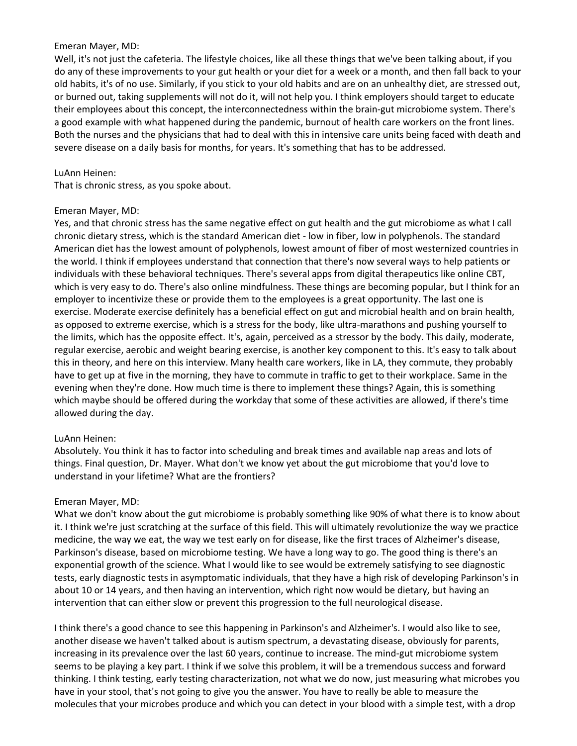Well, it's not just the cafeteria. The lifestyle choices, like all these things that we've been talking about, if you do any of these improvements to your gut health or your diet for a week or a month, and then fall back to your old habits, it's of no use. Similarly, if you stick to your old habits and are on an unhealthy diet, are stressed out, or burned out, taking supplements will not do it, will not help you. I think employers should target to educate their employees about this concept, the interconnectedness within the brain-gut microbiome system. There's a good example with what happened during the pandemic, burnout of health care workers on the front lines. Both the nurses and the physicians that had to deal with this in intensive care units being faced with death and severe disease on a daily basis for months, for years. It's something that has to be addressed.

### LuAnn Heinen:

That is chronic stress, as you spoke about.

### Emeran Mayer, MD:

Yes, and that chronic stress has the same negative effect on gut health and the gut microbiome as what I call chronic dietary stress, which is the standard American diet - low in fiber, low in polyphenols. The standard American diet has the lowest amount of polyphenols, lowest amount of fiber of most westernized countries in the world. I think if employees understand that connection that there's now several ways to help patients or individuals with these behavioral techniques. There's several apps from digital therapeutics like online CBT, which is very easy to do. There's also online mindfulness. These things are becoming popular, but I think for an employer to incentivize these or provide them to the employees is a great opportunity. The last one is exercise. Moderate exercise definitely has a beneficial effect on gut and microbial health and on brain health, as opposed to extreme exercise, which is a stress for the body, like ultra-marathons and pushing yourself to the limits, which has the opposite effect. It's, again, perceived as a stressor by the body. This daily, moderate, regular exercise, aerobic and weight bearing exercise, is another key component to this. It's easy to talk about this in theory, and here on this interview. Many health care workers, like in LA, they commute, they probably have to get up at five in the morning, they have to commute in traffic to get to their workplace. Same in the evening when they're done. How much time is there to implement these things? Again, this is something which maybe should be offered during the workday that some of these activities are allowed, if there's time allowed during the day.

### LuAnn Heinen:

Absolutely. You think it has to factor into scheduling and break times and available nap areas and lots of things. Final question, Dr. Mayer. What don't we know yet about the gut microbiome that you'd love to understand in your lifetime? What are the frontiers?

### Emeran Mayer, MD:

What we don't know about the gut microbiome is probably something like 90% of what there is to know about it. I think we're just scratching at the surface of this field. This will ultimately revolutionize the way we practice medicine, the way we eat, the way we test early on for disease, like the first traces of Alzheimer's disease, Parkinson's disease, based on microbiome testing. We have a long way to go. The good thing is there's an exponential growth of the science. What I would like to see would be extremely satisfying to see diagnostic tests, early diagnostic tests in asymptomatic individuals, that they have a high risk of developing Parkinson's in about 10 or 14 years, and then having an intervention, which right now would be dietary, but having an intervention that can either slow or prevent this progression to the full neurological disease.

I think there's a good chance to see this happening in Parkinson's and Alzheimer's. I would also like to see, another disease we haven't talked about is autism spectrum, a devastating disease, obviously for parents, increasing in its prevalence over the last 60 years, continue to increase. The mind-gut microbiome system seems to be playing a key part. I think if we solve this problem, it will be a tremendous success and forward thinking. I think testing, early testing characterization, not what we do now, just measuring what microbes you have in your stool, that's not going to give you the answer. You have to really be able to measure the molecules that your microbes produce and which you can detect in your blood with a simple test, with a drop